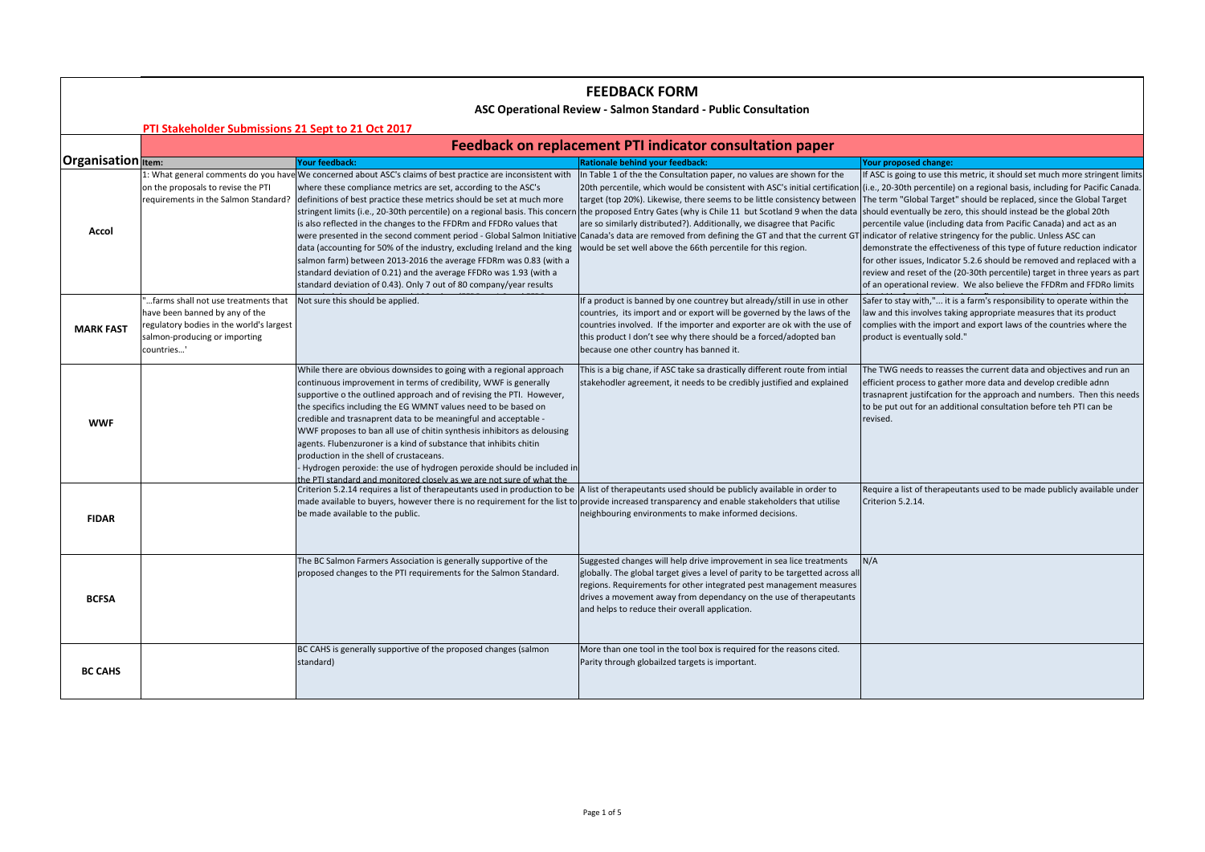## **FEEDBACK FORM**

## **ASC Operational Review ‐ Salmon Standard ‐ Public Consultation**

|                                      | Feedback on replacement PTI indicator consultation paper                                                                                                         |                                                                                                                                                                                                                                                                                                                                                                                                                                                                                                                                                                                                                                                                                                             |                                                                                                                                                                                                                                                                                                                                                                                                                                                                                                                                                                                                                                                             |                                                                                                                                                                                                                                                                                                                                                                                                                                                                                                                                                                                                                                                                                                       |  |
|--------------------------------------|------------------------------------------------------------------------------------------------------------------------------------------------------------------|-------------------------------------------------------------------------------------------------------------------------------------------------------------------------------------------------------------------------------------------------------------------------------------------------------------------------------------------------------------------------------------------------------------------------------------------------------------------------------------------------------------------------------------------------------------------------------------------------------------------------------------------------------------------------------------------------------------|-------------------------------------------------------------------------------------------------------------------------------------------------------------------------------------------------------------------------------------------------------------------------------------------------------------------------------------------------------------------------------------------------------------------------------------------------------------------------------------------------------------------------------------------------------------------------------------------------------------------------------------------------------------|-------------------------------------------------------------------------------------------------------------------------------------------------------------------------------------------------------------------------------------------------------------------------------------------------------------------------------------------------------------------------------------------------------------------------------------------------------------------------------------------------------------------------------------------------------------------------------------------------------------------------------------------------------------------------------------------------------|--|
| <b>Organisation</b> <sub>Item:</sub> |                                                                                                                                                                  | Your feedback:                                                                                                                                                                                                                                                                                                                                                                                                                                                                                                                                                                                                                                                                                              | Rationale behind your feedback:                                                                                                                                                                                                                                                                                                                                                                                                                                                                                                                                                                                                                             | Your proposed change:                                                                                                                                                                                                                                                                                                                                                                                                                                                                                                                                                                                                                                                                                 |  |
| Accol                                | on the proposals to revise the PTI<br>requirements in the Salmon Standard?                                                                                       | 1: What general comments do you have We concerned about ASC's claims of best practice are inconsistent with<br>where these compliance metrics are set, according to the ASC's<br>definitions of best practice these metrics should be set at much more<br>stringent limits (i.e., 20-30th percentile) on a regional basis. This concerr<br>is also reflected in the changes to the FFDRm and FFDRo values that<br>data (accounting for 50% of the industry, excluding Ireland and the king<br>salmon farm) between 2013-2016 the average FFDRm was 0.83 (with a<br>standard deviation of 0.21) and the average FFDRo was 1.93 (with a<br>standard deviation of 0.43). Only 7 out of 80 company/year results | In Table 1 of the the Consultation paper, no values are shown for the<br>target (top 20%). Likewise, there seems to be little consistency between<br>althe proposed Entry Gates (why is Chile 11 but Scotland 9 when the data  should eventually be zero, this should instead be the global 20th<br>are so similarly distributed?). Additionally, we disagree that Pacific<br>were presented in the second comment period - Global Salmon Initiative Canada's data are removed from defining the GT and that the current GT indicator of relative stringency for the public. Unless ASC can<br>would be set well above the 66th percentile for this region. | If ASC is going to use this metric, it should set much more stringent limits<br>20th percentile, which would be consistent with ASC's initial certification (i.e., 20-30th percentile) on a regional basis, including for Pacific Canada.<br>The term "Global Target" should be replaced, since the Global Target<br>percentile value (including data from Pacific Canada) and act as an<br>demonstrate the effectiveness of this type of future reduction indicator<br>for other issues, Indicator 5.2.6 should be removed and replaced with a<br>review and reset of the (20-30th percentile) target in three years as part<br>of an operational review. We also believe the FFDRm and FFDRo limits |  |
| <b>MARK FAST</b>                     | farms shall not use treatments that<br>have been banned by any of the<br>regulatory bodies in the world's largest<br>salmon-producing or importing<br>countries' | Not sure this should be applied.                                                                                                                                                                                                                                                                                                                                                                                                                                                                                                                                                                                                                                                                            | If a product is banned by one countrey but already/still in use in other<br>countries, its import and or export will be governed by the laws of the<br>countries involved. If the importer and exporter are ok with the use of<br>this product I don't see why there should be a forced/adopted ban<br>because one other country has banned it.                                                                                                                                                                                                                                                                                                             | Safer to stay with," it is a farm's responsibility to operate within the<br>law and this involves taking appropriate measures that its product<br>complies with the import and export laws of the countries where the<br>product is eventually sold."                                                                                                                                                                                                                                                                                                                                                                                                                                                 |  |
| <b>WWF</b>                           |                                                                                                                                                                  | While there are obvious downsides to going with a regional approach<br>continuous improvement in terms of credibility, WWF is generally<br>supportive o the outlined approach and of revising the PTI. However,<br>the specifics including the EG WMNT values need to be based on<br>credible and trasnaprent data to be meaningful and acceptable -<br>WWF proposes to ban all use of chitin synthesis inhibitors as delousing<br>agents. Flubenzuroner is a kind of substance that inhibits chitin<br>production in the shell of crustaceans.<br>Hydrogen peroxide: the use of hydrogen peroxide should be included in<br>the PTI standard and monitored closely as we are not sure of what the           | This is a big chane, if ASC take sa drastically different route from intial<br>stakehodler agreement, it needs to be credibly justified and explained                                                                                                                                                                                                                                                                                                                                                                                                                                                                                                       | The TWG needs to reasses the current data and objectives and run an<br>efficient process to gather more data and develop credible adnn<br>trasnaprent justifcation for the approach and numbers. Then this needs<br>to be put out for an additional consultation before teh PTI can be<br>revised.                                                                                                                                                                                                                                                                                                                                                                                                    |  |
| <b>FIDAR</b>                         |                                                                                                                                                                  | Criterion 5.2.14 requires a list of therapeutants used in production to be  A list of therapeutants used should be publicly available in order to<br>made available to buyers, however there is no requirement for the list to provide increased transparency and enable stakeholders that utilise<br>be made available to the public.                                                                                                                                                                                                                                                                                                                                                                      | neighbouring environments to make informed decisions.                                                                                                                                                                                                                                                                                                                                                                                                                                                                                                                                                                                                       | Require a list of therapeutants used to be made publicly available under<br>Criterion 5.2.14.                                                                                                                                                                                                                                                                                                                                                                                                                                                                                                                                                                                                         |  |
| <b>BCFSA</b>                         |                                                                                                                                                                  | The BC Salmon Farmers Association is generally supportive of the<br>proposed changes to the PTI requirements for the Salmon Standard.                                                                                                                                                                                                                                                                                                                                                                                                                                                                                                                                                                       | Suggested changes will help drive improvement in sea lice treatments<br>globally. The global target gives a level of parity to be targetted across all<br>regions. Requirements for other integrated pest management measures<br>drives a movement away from dependancy on the use of therapeutants<br>and helps to reduce their overall application.                                                                                                                                                                                                                                                                                                       | N/A                                                                                                                                                                                                                                                                                                                                                                                                                                                                                                                                                                                                                                                                                                   |  |
| <b>BC CAHS</b>                       |                                                                                                                                                                  | BC CAHS is generally supportive of the proposed changes (salmon<br>standard)                                                                                                                                                                                                                                                                                                                                                                                                                                                                                                                                                                                                                                | More than one tool in the tool box is required for the reasons cited.<br>Parity through globailzed targets is important.                                                                                                                                                                                                                                                                                                                                                                                                                                                                                                                                    |                                                                                                                                                                                                                                                                                                                                                                                                                                                                                                                                                                                                                                                                                                       |  |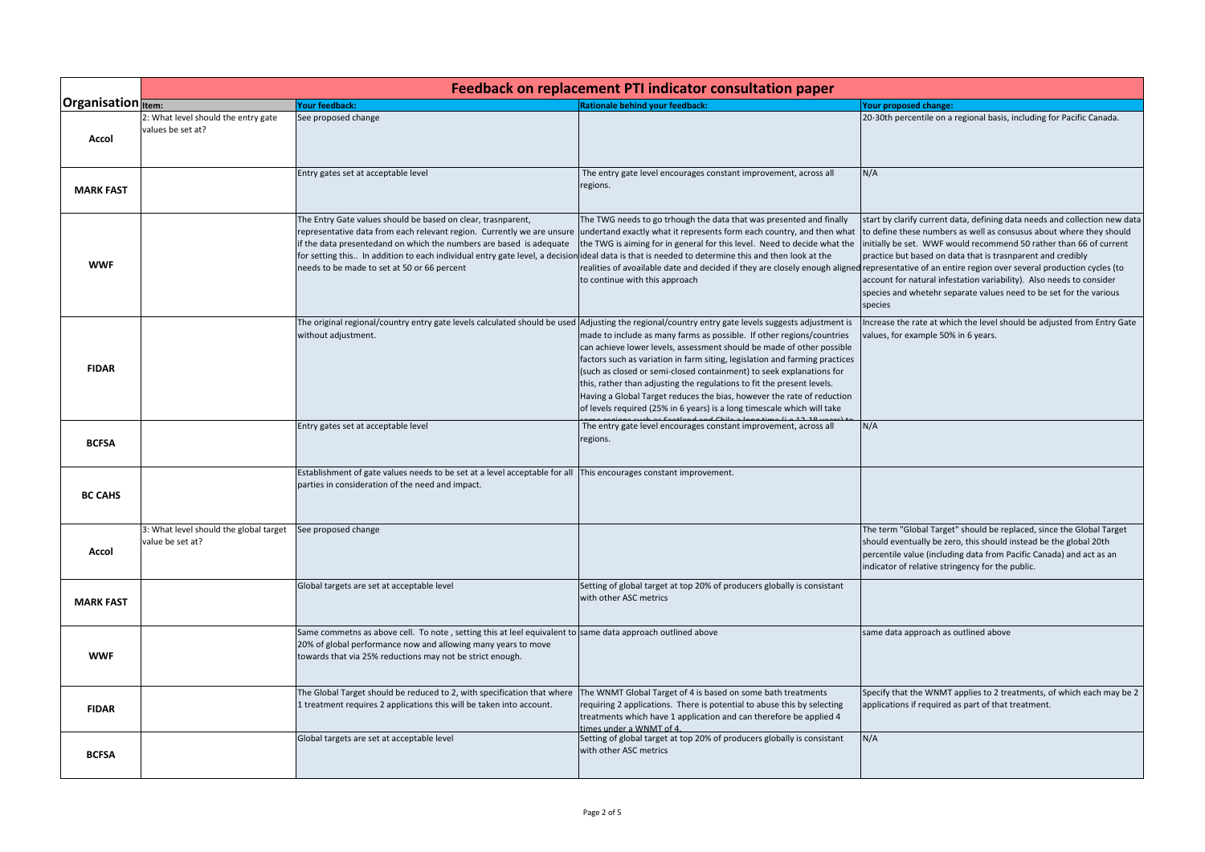|                           | Feedback on replacement PTI indicator consultation paper   |                                                                                                                                                                                                                                                                                                                                                                                                                                                                                        |                                                                                                                                                                                                                                                                                                                                                                                                                                                                                                                                      |                                                                                                                                                                                                                                                                                                                                                                                                                                                 |
|---------------------------|------------------------------------------------------------|----------------------------------------------------------------------------------------------------------------------------------------------------------------------------------------------------------------------------------------------------------------------------------------------------------------------------------------------------------------------------------------------------------------------------------------------------------------------------------------|--------------------------------------------------------------------------------------------------------------------------------------------------------------------------------------------------------------------------------------------------------------------------------------------------------------------------------------------------------------------------------------------------------------------------------------------------------------------------------------------------------------------------------------|-------------------------------------------------------------------------------------------------------------------------------------------------------------------------------------------------------------------------------------------------------------------------------------------------------------------------------------------------------------------------------------------------------------------------------------------------|
| <b>Organisation</b> Item: |                                                            | <b>Your feedback:</b>                                                                                                                                                                                                                                                                                                                                                                                                                                                                  | <b>Rationale behind your feedback:</b>                                                                                                                                                                                                                                                                                                                                                                                                                                                                                               | Your proposed change:                                                                                                                                                                                                                                                                                                                                                                                                                           |
| Accol                     | 2: What level should the entry gate<br>values be set at?   | See proposed change                                                                                                                                                                                                                                                                                                                                                                                                                                                                    |                                                                                                                                                                                                                                                                                                                                                                                                                                                                                                                                      | 20-30th percentile on a regional basis, including for Pacific Canada.                                                                                                                                                                                                                                                                                                                                                                           |
| <b>MARK FAST</b>          |                                                            | Entry gates set at acceptable level                                                                                                                                                                                                                                                                                                                                                                                                                                                    | The entry gate level encourages constant improvement, across all<br>regions.                                                                                                                                                                                                                                                                                                                                                                                                                                                         | N/A                                                                                                                                                                                                                                                                                                                                                                                                                                             |
| <b>WWF</b>                |                                                            | The Entry Gate values should be based on clear, trasnparent,<br>representative data from each relevant region. Currently we are unsure undertand exactly what it represents form each country, and then what<br>if the data presentedand on which the numbers are based is adequate<br>for setting this In addition to each individual entry gate level, a decision ideal data is that is needed to determine this and then look at the<br>needs to be made to set at 50 or 66 percent | The TWG needs to go trhough the data that was presented and finally<br>the TWG is aiming for in general for this level. Need to decide what the<br>realities of avoailable date and decided if they are closely enough aligned representative of an entire region over several production cycles (to<br>to continue with this approach                                                                                                                                                                                               | start by clarify current data, defining data needs and collection new data<br>to define these numbers as well as consusus about where they should<br>initially be set. WWF would recommend 50 rather than 66 of current<br>practice but based on data that is trasnparent and credibly<br>account for natural infestation variability). Also needs to consider<br>species and whetehr separate values need to be set for the various<br>species |
| <b>FIDAR</b>              |                                                            | The original regional/country entry gate levels calculated should be used Adjusting the regional/country entry gate levels suggests adjustment is<br>without adjustment.                                                                                                                                                                                                                                                                                                               | made to include as many farms as possible. If other regions/countries<br>can achieve lower levels, assessment should be made of other possible<br>factors such as variation in farm siting, legislation and farming practices<br>(such as closed or semi-closed containment) to seek explanations for<br>this, rather than adjusting the regulations to fit the present levels.<br>Having a Global Target reduces the bias, however the rate of reduction<br>of levels required (25% in 6 years) is a long timescale which will take | Increase the rate at which the level should be adjusted from Entry Gate<br>values, for example 50% in 6 years.                                                                                                                                                                                                                                                                                                                                  |
| <b>BCFSA</b>              |                                                            | Entry gates set at acceptable level                                                                                                                                                                                                                                                                                                                                                                                                                                                    | The entry gate level encourages constant improvement, across all<br>regions.                                                                                                                                                                                                                                                                                                                                                                                                                                                         | N/A                                                                                                                                                                                                                                                                                                                                                                                                                                             |
| <b>BC CAHS</b>            |                                                            | Establishment of gate values needs to be set at a level acceptable for all<br>parties in consideration of the need and impact.                                                                                                                                                                                                                                                                                                                                                         | This encourages constant improvement.                                                                                                                                                                                                                                                                                                                                                                                                                                                                                                |                                                                                                                                                                                                                                                                                                                                                                                                                                                 |
| Accol                     | 3: What level should the global target<br>value be set at? | See proposed change                                                                                                                                                                                                                                                                                                                                                                                                                                                                    |                                                                                                                                                                                                                                                                                                                                                                                                                                                                                                                                      | The term "Global Target" should be replaced, since the Global Target<br>should eventually be zero, this should instead be the global 20th<br>percentile value (including data from Pacific Canada) and act as an<br>indicator of relative stringency for the public.                                                                                                                                                                            |
| <b>MARK FAST</b>          |                                                            | Global targets are set at acceptable level                                                                                                                                                                                                                                                                                                                                                                                                                                             | Setting of global target at top 20% of producers globally is consistant<br>with other ASC metrics                                                                                                                                                                                                                                                                                                                                                                                                                                    |                                                                                                                                                                                                                                                                                                                                                                                                                                                 |
| <b>WWF</b>                |                                                            | Same commetns as above cell. To note, setting this at leel equivalent to same data approach outlined above<br>20% of global performance now and allowing many years to move<br>towards that via 25% reductions may not be strict enough.                                                                                                                                                                                                                                               |                                                                                                                                                                                                                                                                                                                                                                                                                                                                                                                                      | same data approach as outlined above                                                                                                                                                                                                                                                                                                                                                                                                            |
| <b>FIDAR</b>              |                                                            | The Global Target should be reduced to 2, with specification that where<br>1 treatment requires 2 applications this will be taken into account.                                                                                                                                                                                                                                                                                                                                        | The WNMT Global Target of 4 is based on some bath treatments<br>requiring 2 applications. There is potential to abuse this by selecting<br>treatments which have 1 application and can therefore be applied 4<br>times under a WNMT of 4.                                                                                                                                                                                                                                                                                            | Specify that the WNMT applies to 2 treatments, of which each may be 2<br>applications if required as part of that treatment.                                                                                                                                                                                                                                                                                                                    |
| <b>BCFSA</b>              |                                                            | Global targets are set at acceptable level                                                                                                                                                                                                                                                                                                                                                                                                                                             | Setting of global target at top 20% of producers globally is consistant<br>with other ASC metrics                                                                                                                                                                                                                                                                                                                                                                                                                                    | N/A                                                                                                                                                                                                                                                                                                                                                                                                                                             |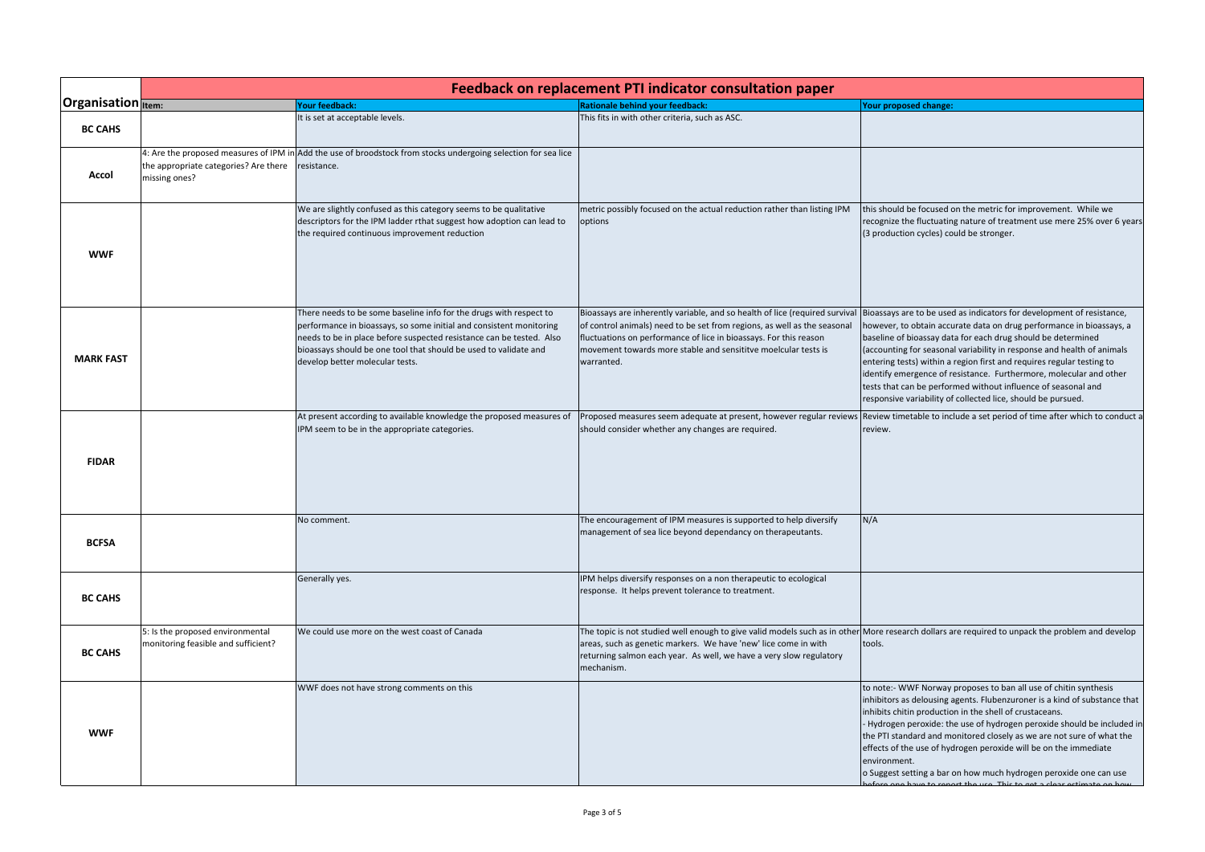|                    | Feedback on replacement PTI indicator consultation paper                                         |                                                                                                                                                                                                                                                                                                                          |                                                                                                                                                                                                                                                                                                                                                                                    |                                                                                                                                                                                                                                                                                                                                                                                                                                                                                                                       |
|--------------------|--------------------------------------------------------------------------------------------------|--------------------------------------------------------------------------------------------------------------------------------------------------------------------------------------------------------------------------------------------------------------------------------------------------------------------------|------------------------------------------------------------------------------------------------------------------------------------------------------------------------------------------------------------------------------------------------------------------------------------------------------------------------------------------------------------------------------------|-----------------------------------------------------------------------------------------------------------------------------------------------------------------------------------------------------------------------------------------------------------------------------------------------------------------------------------------------------------------------------------------------------------------------------------------------------------------------------------------------------------------------|
| Organisation Item: |                                                                                                  | our feedback:                                                                                                                                                                                                                                                                                                            | <b>Rationale behind your feedback:</b>                                                                                                                                                                                                                                                                                                                                             | Your proposed change:                                                                                                                                                                                                                                                                                                                                                                                                                                                                                                 |
| <b>BC CAHS</b>     |                                                                                                  | It is set at acceptable levels.                                                                                                                                                                                                                                                                                          | This fits in with other criteria, such as ASC.                                                                                                                                                                                                                                                                                                                                     |                                                                                                                                                                                                                                                                                                                                                                                                                                                                                                                       |
| Accol              | 4: Are the proposed measures of IPM in<br>the appropriate categories? Are there<br>missing ones? | Add the use of broodstock from stocks undergoing selection for sea lice<br>resistance.                                                                                                                                                                                                                                   |                                                                                                                                                                                                                                                                                                                                                                                    |                                                                                                                                                                                                                                                                                                                                                                                                                                                                                                                       |
| <b>WWF</b>         |                                                                                                  | We are slightly confused as this category seems to be qualitative<br>descriptors for the IPM ladder rthat suggest how adoption can lead to<br>the required continuous improvement reduction                                                                                                                              | metric possibly focused on the actual reduction rather than listing IPM<br>options                                                                                                                                                                                                                                                                                                 | this should be focused on the metric for improvement. While we<br>recognize the fluctuating nature of treatment use mere 25% over 6 years<br>(3 production cycles) could be stronger.                                                                                                                                                                                                                                                                                                                                 |
| <b>MARK FAST</b>   |                                                                                                  | There needs to be some baseline info for the drugs with respect to<br>performance in bioassays, so some initial and consistent monitoring<br>needs to be in place before suspected resistance can be tested. Also<br>bioassays should be one tool that should be used to validate and<br>develop better molecular tests. | Bioassays are inherently variable, and so health of lice (required survival Bioassays are to be used as indicators for development of resistance,<br>of control animals) need to be set from regions, as well as the seasonal<br>fluctuations on performance of lice in bioassays. For this reason<br>movement towards more stable and sensititve moelcular tests is<br>warranted. | however, to obtain accurate data on drug performance in bioassays, a<br>baseline of bioassay data for each drug should be determined<br>(accounting for seasonal variability in response and health of animals<br>entering tests) within a region first and requires regular testing to<br>identify emergence of resistance. Furthermore, molecular and other<br>tests that can be performed without influence of seasonal and<br>responsive variability of collected lice, should be pursued.                        |
| <b>FIDAR</b>       |                                                                                                  | At present according to available knowledge the proposed measures of<br>IPM seem to be in the appropriate categories.                                                                                                                                                                                                    | should consider whether any changes are required.                                                                                                                                                                                                                                                                                                                                  | Proposed measures seem adequate at present, however regular reviews Review timetable to include a set period of time after which to conduct a<br>review.                                                                                                                                                                                                                                                                                                                                                              |
| <b>BCFSA</b>       |                                                                                                  | No comment.                                                                                                                                                                                                                                                                                                              | The encouragement of IPM measures is supported to help diversify<br>management of sea lice beyond dependancy on therapeutants.                                                                                                                                                                                                                                                     | N/A                                                                                                                                                                                                                                                                                                                                                                                                                                                                                                                   |
| <b>BC CAHS</b>     |                                                                                                  | Generally yes.                                                                                                                                                                                                                                                                                                           | IPM helps diversify responses on a non therapeutic to ecological<br>response. It helps prevent tolerance to treatment.                                                                                                                                                                                                                                                             |                                                                                                                                                                                                                                                                                                                                                                                                                                                                                                                       |
| <b>BC CAHS</b>     | 5: Is the proposed environmental<br>monitoring feasible and sufficient?                          | We could use more on the west coast of Canada                                                                                                                                                                                                                                                                            | The topic is not studied well enough to give valid models such as in other<br>areas, such as genetic markers. We have 'new' lice come in with<br>returning salmon each year. As well, we have a very slow regulatory<br>mechanism.                                                                                                                                                 | More research dollars are required to unpack the problem and develop<br>tools.                                                                                                                                                                                                                                                                                                                                                                                                                                        |
| <b>WWF</b>         |                                                                                                  | WWF does not have strong comments on this                                                                                                                                                                                                                                                                                |                                                                                                                                                                                                                                                                                                                                                                                    | to note:- WWF Norway proposes to ban all use of chitin synthesis<br>inhibitors as delousing agents. Flubenzuroner is a kind of substance that<br>inhibits chitin production in the shell of crustaceans.<br>- Hydrogen peroxide: the use of hydrogen peroxide should be included in<br>the PTI standard and monitored closely as we are not sure of what the<br>effects of the use of hydrogen peroxide will be on the immediate<br>environment.<br>o Suggest setting a bar on how much hydrogen peroxide one can use |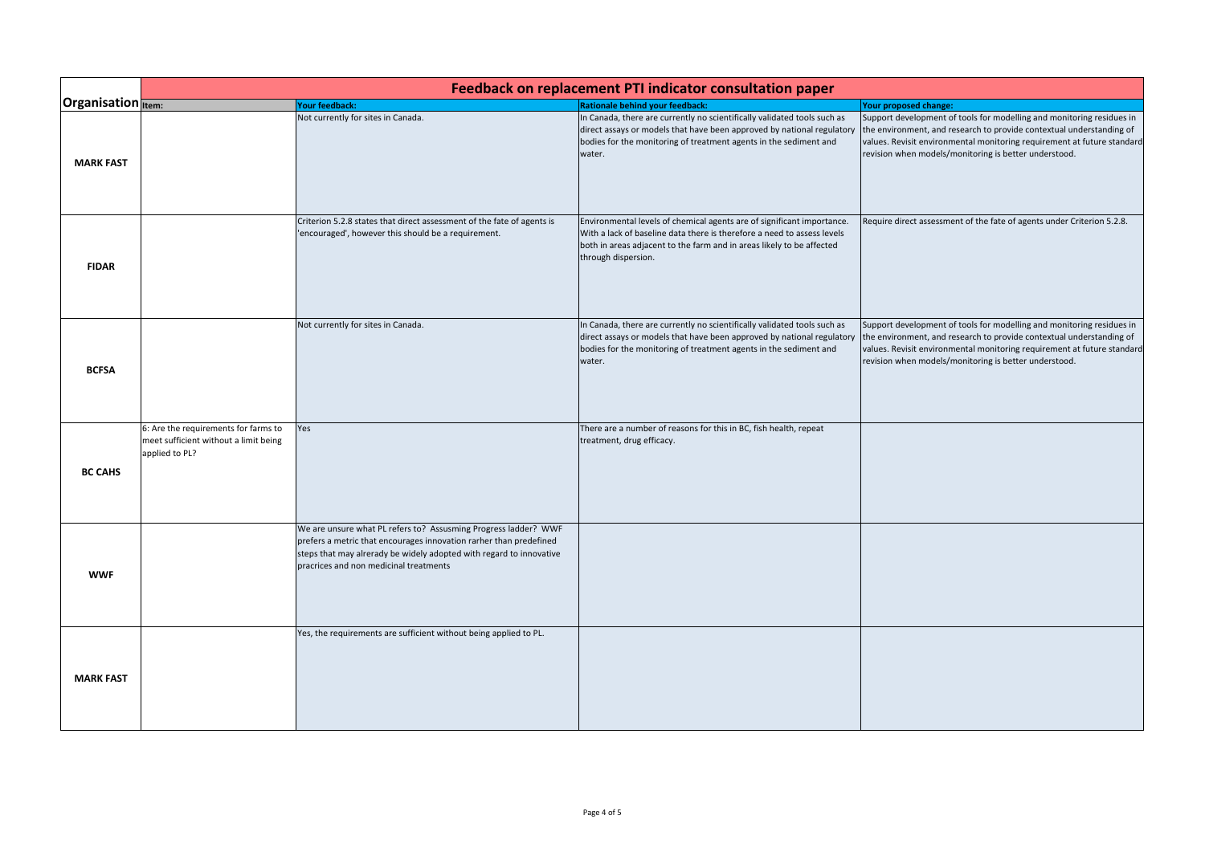|                           | Feedback on replacement PTI indicator consultation paper                                        |                                                                                                                                                                                                                                                        |                                                                                                                                                                                                                                                   |                                                                                                                                                                                                                                                                                   |
|---------------------------|-------------------------------------------------------------------------------------------------|--------------------------------------------------------------------------------------------------------------------------------------------------------------------------------------------------------------------------------------------------------|---------------------------------------------------------------------------------------------------------------------------------------------------------------------------------------------------------------------------------------------------|-----------------------------------------------------------------------------------------------------------------------------------------------------------------------------------------------------------------------------------------------------------------------------------|
| <b>Organisation</b> Item: |                                                                                                 | Your feedback:                                                                                                                                                                                                                                         | <b>Rationale behind your feedback:</b>                                                                                                                                                                                                            | Your proposed change:                                                                                                                                                                                                                                                             |
| <b>MARK FAST</b>          |                                                                                                 | Not currently for sites in Canada.                                                                                                                                                                                                                     | In Canada, there are currently no scientifically validated tools such as<br>direct assays or models that have been approved by national regulatory<br>bodies for the monitoring of treatment agents in the sediment and<br>water.                 | Support development of tools for modelling and monitoring residues in<br>the environment, and research to provide contextual understanding of<br>values. Revisit environmental monitoring requirement at future standard<br>revision when models/monitoring is better understood. |
| <b>FIDAR</b>              |                                                                                                 | Criterion 5.2.8 states that direct assessment of the fate of agents is<br>'encouraged', however this should be a requirement.                                                                                                                          | Environmental levels of chemical agents are of significant importance.<br>With a lack of baseline data there is therefore a need to assess levels<br>both in areas adjacent to the farm and in areas likely to be affected<br>through dispersion. | Require direct assessment of the fate of agents under Criterion 5.2.8.                                                                                                                                                                                                            |
| <b>BCFSA</b>              |                                                                                                 | Not currently for sites in Canada.                                                                                                                                                                                                                     | In Canada, there are currently no scientifically validated tools such as<br>direct assays or models that have been approved by national regulatory<br>bodies for the monitoring of treatment agents in the sediment and<br>water.                 | Support development of tools for modelling and monitoring residues in<br>the environment, and research to provide contextual understanding of<br>values. Revisit environmental monitoring requirement at future standard<br>revision when models/monitoring is better understood. |
| <b>BC CAHS</b>            | 6: Are the requirements for farms to<br>meet sufficient without a limit being<br>applied to PL? | Yes                                                                                                                                                                                                                                                    | There are a number of reasons for this in BC, fish health, repeat<br>treatment, drug efficacy.                                                                                                                                                    |                                                                                                                                                                                                                                                                                   |
| <b>WWF</b>                |                                                                                                 | We are unsure what PL refers to? Assusming Progress ladder? WWF<br>prefers a metric that encourages innovation rarher than predefined<br>steps that may alrerady be widely adopted with regard to innovative<br>pracrices and non medicinal treatments |                                                                                                                                                                                                                                                   |                                                                                                                                                                                                                                                                                   |
| <b>MARK FAST</b>          |                                                                                                 | Yes, the requirements are sufficient without being applied to PL.                                                                                                                                                                                      |                                                                                                                                                                                                                                                   |                                                                                                                                                                                                                                                                                   |